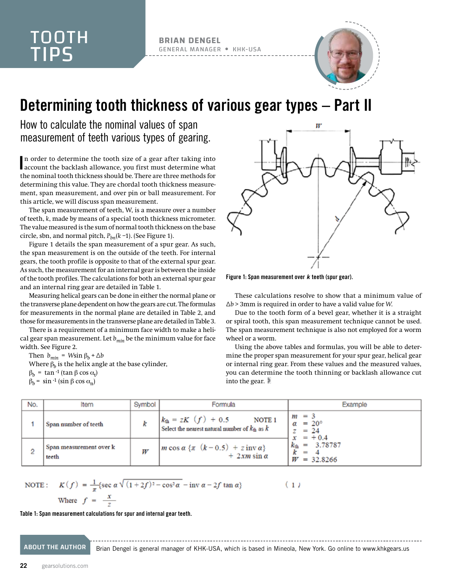**BRIAN DENGEL** GENERAL MANAGER KHK-USA



## Determining tooth thickness of various gear types – Part II

How to calculate the nominal values of span measurement of teeth various types of gearing.

In order to determine the tooth size of a gear after taking into account the backlash allowance, you first must determine what n order to determine the tooth size of a gear after taking into the nominal tooth thickness should be. There are three methods for determining this value. They are chordal tooth thickness measurement, span measurement, and over pin or ball measurement. For this article, we will discuss span measurement.

The span measurement of teeth, W, is a measure over a number of teeth, *k*, made by means of a special tooth thickness micrometer. The value measured is the sum of normal tooth thickness on the base circle, sbn, and normal pitch, *Pbn*(*k* –1). (See Figure 1).

Figure 1 details the span measurement of a spur gear. As such, the span measurement is on the outside of the teeth. For internal gears, the tooth profile is opposite to that of the external spur gear. As such, the measurement for an internal gear is between the inside of the tooth profiles. The calculations for both an external spur gear and an internal ring gear are detailed in Table 1.

Measuring helical gears can be done in either the normal plane or the transverse plane dependent on how the gears are cut. The formulas for measurements in the normal plane are detailed in Table 2, and those for measurements in the transverse plane are detailed in Table 3.

There is a requirement of a minimum face width to make a helical gear span measurement. Let  $b_{min}$  be the minimum value for face width. See Figure 2.

Then  $b_{min}$  = *Wsin*  $\beta_b + \Delta b$ 

Where  $\beta_h$  is the helix angle at the base cylinder,

 $β_b = \tan^{-1} (\tan \beta \cos \alpha_t)$ 

 $β<sub>b</sub> = sin^{-1}(sin β cos α<sub>n</sub>)$ 



Figure 1: Span measurement over *k* teeth (spur gear).

These calculations resolve to show that a minimum value of Δ*b* > 3mm is required in order to have a valid value for *W*.

Due to the tooth form of a bevel gear, whether it is a straight or spiral tooth, this span measurement technique cannot be used. The span measurement technique is also not employed for a worm wheel or a worm.

Using the above tables and formulas, you will be able to determine the proper span measurement for your spur gear, helical gear or internal ring gear. From these values and the measured values, you can determine the tooth thinning or backlash allowance cut into the gear.

| No. | Item                             | Symbol <sup>1</sup> | Formula                                                                                                | Example                                                                                                   |
|-----|----------------------------------|---------------------|--------------------------------------------------------------------------------------------------------|-----------------------------------------------------------------------------------------------------------|
|     | Span number of teeth             |                     | $k_{\text{th}} = zK$ $(f) + 0.5$<br>NOTE 1<br>Select the nearest natural number of $k_{\rm th}$ as $k$ | $m = 3$<br>$\alpha = 20^{\circ}$<br>$= 24$<br>$x = +0.4$<br>$k_{\text{th}} = 3.78787$<br>$= 32.8266$<br>W |
| 2   | Span measurement over k<br>teeth |                     | $m \cos \alpha \{ \pi \ (k-0.5) + z \text{ inv}\alpha \}$<br>$+2x m \sin \alpha$                       |                                                                                                           |

NOTE: 
$$
K(f) = \frac{1}{\pi} \{ \sec \alpha \sqrt{(1+2f)^2 - \cos^2 \alpha} - \text{inv } \alpha - 2f \tan \alpha \}
$$
 (1)  
Where  $f = \frac{x}{\pi}$ 

Table 1: Span measurement calculations for spur and internal gear teeth.

ABOUT THE AUTHOR Brian Dengel is general manager of KHK-USA, which is based in Mineola, New York. Go online to [www.khkgears.us](http://www.khkgears.us)